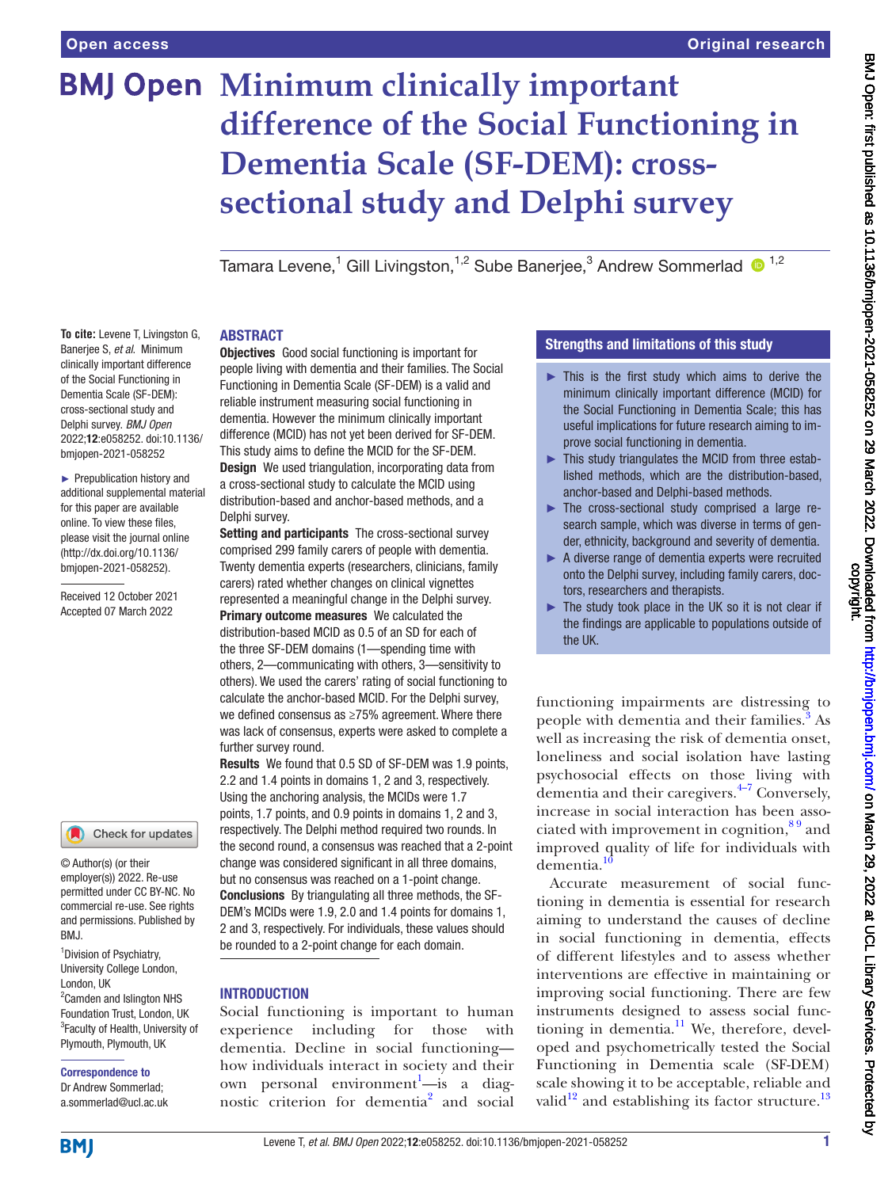Tamara Levene,<sup>1</sup> Gill Livingston,<sup>1,2</sup> Sube Banerjee,<sup>3</sup> Andrew Sommerlad <sup>1,2</sup>

#### ABSTRACT

**To cite:** Levene T, Livingston G, Banerjee S, *et al*. Minimum clinically important difference of the Social Functioning in Dementia Scale (SF-DEM): cross-sectional study and Delphi survey. *BMJ Open* 2022;12:e058252. doi:10.1136/ bmjopen-2021-058252 ► Prepublication history and

additional supplemental material for this paper are available online. To view these files, please visit the journal online [\(http://dx.doi.org/10.1136/](http://dx.doi.org/10.1136/bmjopen-2021-058252) [bmjopen-2021-058252](http://dx.doi.org/10.1136/bmjopen-2021-058252)).

Received 12 October 2021 Accepted 07 March 2022

#### Check for updates

© Author(s) (or their employer(s)) 2022. Re-use permitted under CC BY-NC. No commercial re-use. See rights and permissions. Published by BMJ.

<sup>1</sup> Division of Psychiatry, University College London, London, UK <sup>2</sup> Camden and Islington NHS Foundation Trust, London, UK <sup>3</sup>Faculty of Health, University of Plymouth, Plymouth, UK

## Correspondence to

Dr Andrew Sommerlad; a.sommerlad@ucl.ac.uk

**Objectives** Good social functioning is important for people living with dementia and their families. The Social Functioning in Dementia Scale (SF-DEM) is a valid and reliable instrument measuring social functioning in dementia. However the minimum clinically important difference (MCID) has not yet been derived for SF-DEM. This study aims to define the MCID for the SF-DEM. **Design** We used triangulation, incorporating data from a cross-sectional study to calculate the MCID using distribution-based and anchor-based methods, and a Delphi survey.

Setting and participants The cross-sectional survey comprised 299 family carers of people with dementia. Twenty dementia experts (researchers, clinicians, family carers) rated whether changes on clinical vignettes represented a meaningful change in the Delphi survey. Primary outcome measures We calculated the distribution-based MCID as 0.5 of an SD for each of the three SF-DEM domains (1—spending time with others, 2—communicating with others, 3—sensitivity to others). We used the carers' rating of social functioning to calculate the anchor-based MCID. For the Delphi survey, we defined consensus as ≥75% agreement. Where there was lack of consensus, experts were asked to complete a further survey round.

Results We found that 0.5 SD of SF-DEM was 1.9 points, 2.2 and 1.4 points in domains 1, 2 and 3, respectively. Using the anchoring analysis, the MCIDs were 1.7 points, 1.7 points, and 0.9 points in domains 1, 2 and 3, respectively. The Delphi method required two rounds. In the second round, a consensus was reached that a 2-point change was considered significant in all three domains, but no consensus was reached on a 1-point change. Conclusions By triangulating all three methods, the SF-DEM's MCIDs were 1.9, 2.0 and 1.4 points for domains 1, 2 and 3, respectively. For individuals, these values should be rounded to a 2-point change for each domain.

#### INTRODUCTION

Social functioning is important to human experience including for those with dementia. Decline in social functioning how individuals interact in society and their own personal environment<sup>[1](#page-6-0)</sup>—is a diag-nostic criterion for dementia<sup>[2](#page-6-1)</sup> and social

#### Strengths and limitations of this study

- $\blacktriangleright$  This is the first study which aims to derive the minimum clinically important difference (MCID) for the Social Functioning in Dementia Scale; this has useful implications for future research aiming to improve social functioning in dementia.
- ► This study triangulates the MCID from three established methods, which are the distribution-based, anchor-based and Delphi-based methods.
- ► The cross-sectional study comprised a large research sample, which was diverse in terms of gender, ethnicity, background and severity of dementia.
- ► A diverse range of dementia experts were recruited onto the Delphi survey, including family carers, doctors, researchers and therapists.
- ► The study took place in the UK so it is not clear if the findings are applicable to populations outside of the UK.

functioning impairments are distressing to people with dementia and their families.<sup>[3](#page-6-2)</sup> As well as increasing the risk of dementia onset, loneliness and social isolation have lasting psychosocial effects on those living with dementia and their caregivers.[4–7](#page-6-3) Conversely, increase in social interaction has been associated with improvement in cognition,  $8<sup>9</sup>$  and improved quality of life for individuals with dementia.

Accurate measurement of social functioning in dementia is essential for research aiming to understand the causes of decline in social functioning in dementia, effects of different lifestyles and to assess whether interventions are effective in maintaining or improving social functioning. There are few instruments designed to assess social functioning in dementia. $^{11}$  We, therefore, developed and psychometrically tested the Social Functioning in Dementia scale (SF-DEM) scale showing it to be acceptable, reliable and valid $12$  and establishing its factor structure.<sup>[13](#page-6-8)</sup>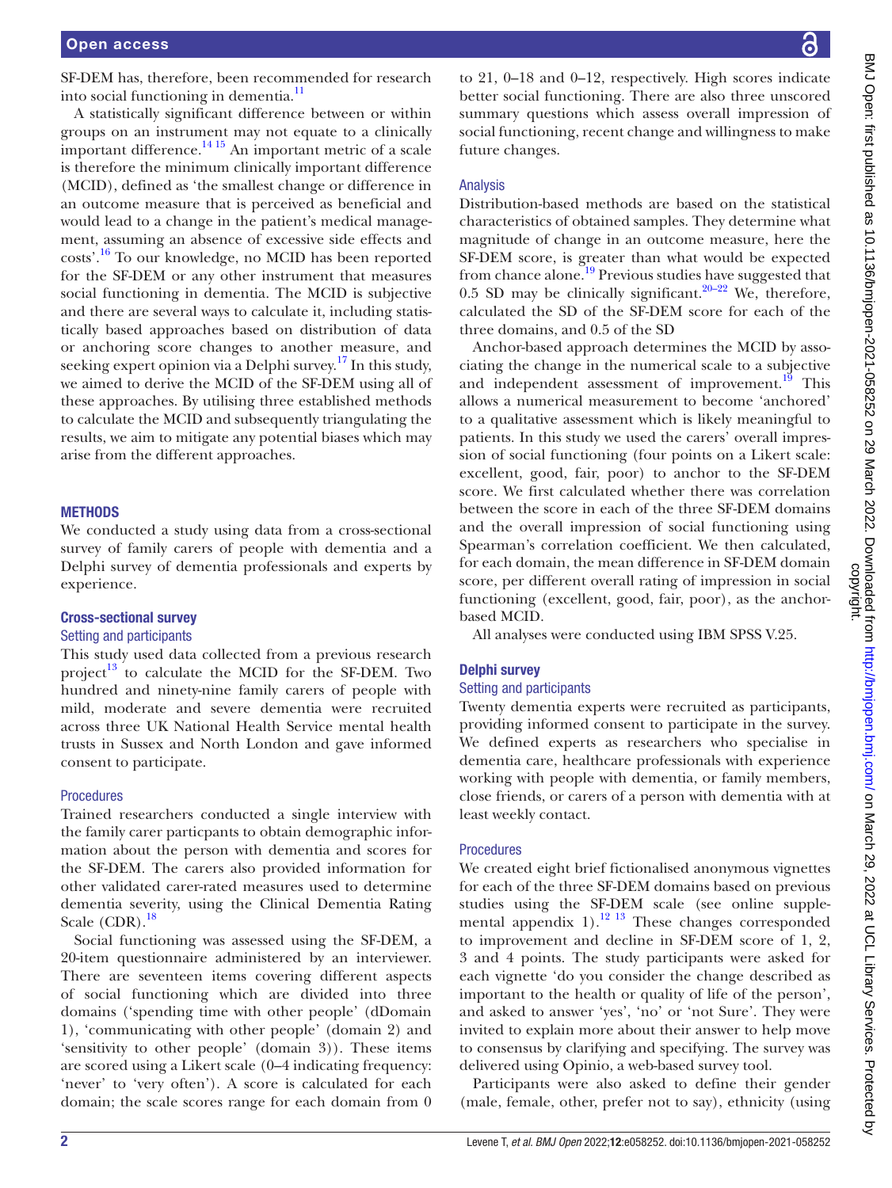SF-DEM has, therefore, been recommended for research into social functioning in dementia.<sup>11</sup>

A statistically significant difference between or within groups on an instrument may not equate to a clinically important difference. $\frac{14}{15}$  An important metric of a scale is therefore the minimum clinically important difference (MCID), defined as 'the smallest change or difference in an outcome measure that is perceived as beneficial and would lead to a change in the patient's medical management, assuming an absence of excessive side effects and costs'.[16](#page-6-10) To our knowledge, no MCID has been reported for the SF-DEM or any other instrument that measures social functioning in dementia. The MCID is subjective and there are several ways to calculate it, including statistically based approaches based on distribution of data or anchoring score changes to another measure, and seeking expert opinion via a Delphi survey.<sup>17</sup> In this study, we aimed to derive the MCID of the SF-DEM using all of these approaches. By utilising three established methods to calculate the MCID and subsequently triangulating the results, we aim to mitigate any potential biases which may arise from the different approaches.

#### **METHODS**

We conducted a study using data from a cross-sectional survey of family carers of people with dementia and a Delphi survey of dementia professionals and experts by experience.

#### Cross-sectional survey

#### Setting and participants

This study used data collected from a previous research project $^{13}$  $^{13}$  $^{13}$  to calculate the MCID for the SF-DEM. Two hundred and ninety-nine family carers of people with mild, moderate and severe dementia were recruited across three UK National Health Service mental health trusts in Sussex and North London and gave informed consent to participate.

#### Procedures

Trained researchers conducted a single interview with the family carer particpants to obtain demographic information about the person with dementia and scores for the SF-DEM. The carers also provided information for other validated carer-rated measures used to determine dementia severity, using the Clinical Dementia Rating Scale  $(CDR)$ .<sup>[18](#page-6-12)</sup>

Social functioning was assessed using the SF-DEM, a 20-item questionnaire administered by an interviewer. There are seventeen items covering different aspects of social functioning which are divided into three domains ('spending time with other people' (dDomain 1), 'communicating with other people' (domain 2) and 'sensitivity to other people' (domain 3)). These items are scored using a Likert scale (0–4 indicating frequency: 'never' to 'very often'). A score is calculated for each domain; the scale scores range for each domain from 0

to 21, 0–18 and 0–12, respectively. High scores indicate better social functioning. There are also three unscored summary questions which assess overall impression of social functioning, recent change and willingness to make future changes.

#### Analysis

Distribution-based methods are based on the statistical characteristics of obtained samples. They determine what magnitude of change in an outcome measure, here the SF-DEM score, is greater than what would be expected from chance alone.<sup>[19](#page-6-13)</sup> Previous studies have suggested that 0.5 SD may be clinically significant. $20-22$  We, therefore, calculated the SD of the SF-DEM score for each of the three domains, and 0.5 of the SD

Anchor-based approach determines the MCID by associating the change in the numerical scale to a subjective and independent assessment of improvement.<sup>[19](#page-6-13)</sup> This allows a numerical measurement to become 'anchored' to a qualitative assessment which is likely meaningful to patients. In this study we used the carers' overall impression of social functioning (four points on a Likert scale: excellent, good, fair, poor) to anchor to the SF-DEM score. We first calculated whether there was correlation between the score in each of the three SF-DEM domains and the overall impression of social functioning using Spearman's correlation coefficient. We then calculated, for each domain, the mean difference in SF-DEM domain score, per different overall rating of impression in social functioning (excellent, good, fair, poor), as the anchorbased MCID.

All analyses were conducted using IBM SPSS V.25.

#### Delphi survey

#### Setting and participants

Twenty dementia experts were recruited as participants, providing informed consent to participate in the survey. We defined experts as researchers who specialise in dementia care, healthcare professionals with experience working with people with dementia, or family members, close friends, or carers of a person with dementia with at least weekly contact.

#### Procedures

We created eight brief fictionalised anonymous vignettes for each of the three SF-DEM domains based on previous studies using the SF-DEM scale (see [online supple](https://dx.doi.org/10.1136/bmjopen-2021-058252)[mental appendix 1\)](https://dx.doi.org/10.1136/bmjopen-2021-058252).<sup>12 13</sup> These changes corresponded to improvement and decline in SF-DEM score of 1, 2, 3 and 4 points. The study participants were asked for each vignette 'do you consider the change described as important to the health or quality of life of the person', and asked to answer 'yes', 'no' or 'not Sure'. They were invited to explain more about their answer to help move to consensus by clarifying and specifying. The survey was delivered using Opinio, a web-based survey tool.

Participants were also asked to define their gender (male, female, other, prefer not to say), ethnicity (using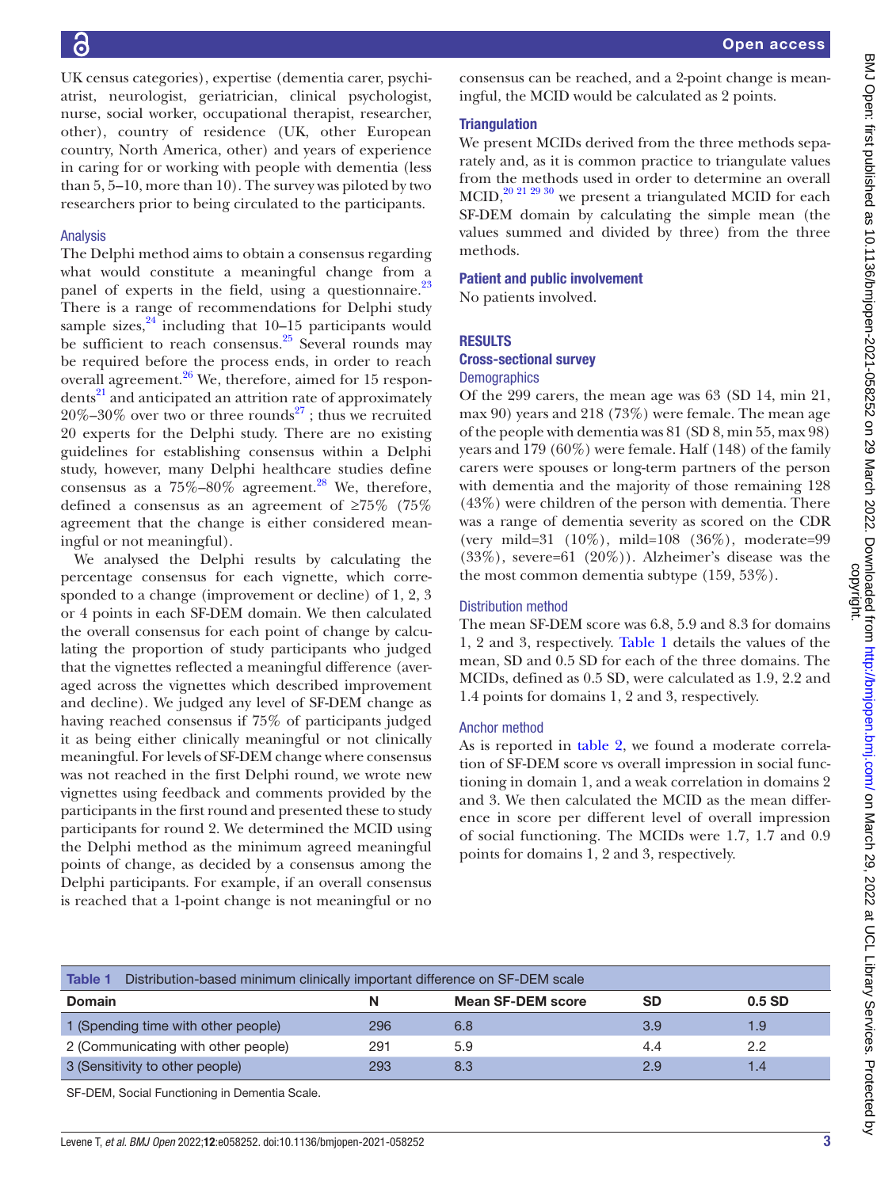UK census categories), expertise (dementia carer, psychiatrist, neurologist, geriatrician, clinical psychologist, nurse, social worker, occupational therapist, researcher, other), country of residence (UK, other European country, North America, other) and years of experience in caring for or working with people with dementia (less than 5, 5–10, more than 10). The survey was piloted by two researchers prior to being circulated to the participants.

#### Analysis

The Delphi method aims to obtain a consensus regarding what would constitute a meaningful change from a panel of experts in the field, using a questionnaire. $^{23}$ There is a range of recommendations for Delphi study sample sizes, $^{24}$  $^{24}$  $^{24}$  including that 10–15 participants would be sufficient to reach consensus. $25$  Several rounds may be required before the process ends, in order to reach overall agreement.<sup>26</sup> We, therefore, aimed for 15 respondents<sup>21</sup> and anticipated an attrition rate of approximately  $20\% - 30\%$  over two or three rounds<sup>27</sup>; thus we recruited 20 experts for the Delphi study. There are no existing guidelines for establishing consensus within a Delphi study, however, many Delphi healthcare studies define consensus as a  $75\% - 80\%$  agreement.<sup>28</sup> We, therefore, defined a consensus as an agreement of ≥75% (75% agreement that the change is either considered meaningful or not meaningful).

We analysed the Delphi results by calculating the percentage consensus for each vignette, which corresponded to a change (improvement or decline) of 1, 2, 3 or 4 points in each SF-DEM domain. We then calculated the overall consensus for each point of change by calculating the proportion of study participants who judged that the vignettes reflected a meaningful difference (averaged across the vignettes which described improvement and decline). We judged any level of SF-DEM change as having reached consensus if 75% of participants judged it as being either clinically meaningful or not clinically meaningful. For levels of SF-DEM change where consensus was not reached in the first Delphi round, we wrote new vignettes using feedback and comments provided by the participants in the first round and presented these to study participants for round 2. We determined the MCID using the Delphi method as the minimum agreed meaningful points of change, as decided by a consensus among the Delphi participants. For example, if an overall consensus is reached that a 1-point change is not meaningful or no

consensus can be reached, and a 2-point change is meaningful, the MCID would be calculated as 2 points.

#### **Triangulation**

We present MCIDs derived from the three methods separately and, as it is common practice to triangulate values from the methods used in order to determine an overall MCID[,20 21 29 30](#page-6-14) we present a triangulated MCID for each SF-DEM domain by calculating the simple mean (the values summed and divided by three) from the three methods.

#### Patient and public involvement

No patients involved.

#### RESULTS

#### Cross-sectional survey

#### **Demographics**

Of the 299 carers, the mean age was 63 (SD 14, min 21, max 90) years and 218 (73%) were female. The mean age of the people with dementia was 81 (SD 8, min 55, max 98) years and 179 (60%) were female. Half (148) of the family carers were spouses or long-term partners of the person with dementia and the majority of those remaining 128 (43%) were children of the person with dementia. There was a range of dementia severity as scored on the CDR (very mild=31 (10%), mild=108 (36%), moderate=99  $(33\%)$ , severe=61  $(20\%)$ ). Alzheimer's disease was the the most common dementia subtype (159, 53%).

#### Distribution method

The mean SF-DEM score was 6.8, 5.9 and 8.3 for domains 1, 2 and 3, respectively. [Table](#page-2-0) 1 details the values of the mean, SD and 0.5 SD for each of the three domains. The MCIDs, defined as 0.5 SD, were calculated as 1.9, 2.2 and 1.4 points for domains 1, 2 and 3, respectively.

#### Anchor method

As is reported in [table](#page-3-0) 2, we found a moderate correlation of SF-DEM score vs overall impression in social functioning in domain 1, and a weak correlation in domains 2 and 3. We then calculated the MCID as the mean difference in score per different level of overall impression of social functioning. The MCIDs were 1.7, 1.7 and 0.9 points for domains 1, 2 and 3, respectively.

<span id="page-2-0"></span>

| Distribution-based minimum clinically important difference on SF-DEM scale<br><b>Table 1</b> |     |                          |               |       |
|----------------------------------------------------------------------------------------------|-----|--------------------------|---------------|-------|
| <b>Domain</b>                                                                                | N   | <b>Mean SF-DEM score</b> | SD            | 0.5SD |
| 1 (Spending time with other people)                                                          | 296 | 6.8                      | 3.9           | 1.9   |
| 2 (Communicating with other people)                                                          | 291 | 5.9                      | 4.4           | 2.2   |
| 3 (Sensitivity to other people)                                                              | 293 | 8.3                      | $2.9^{\circ}$ | 1.4   |

SF-DEM, Social Functioning in Dementia Scale.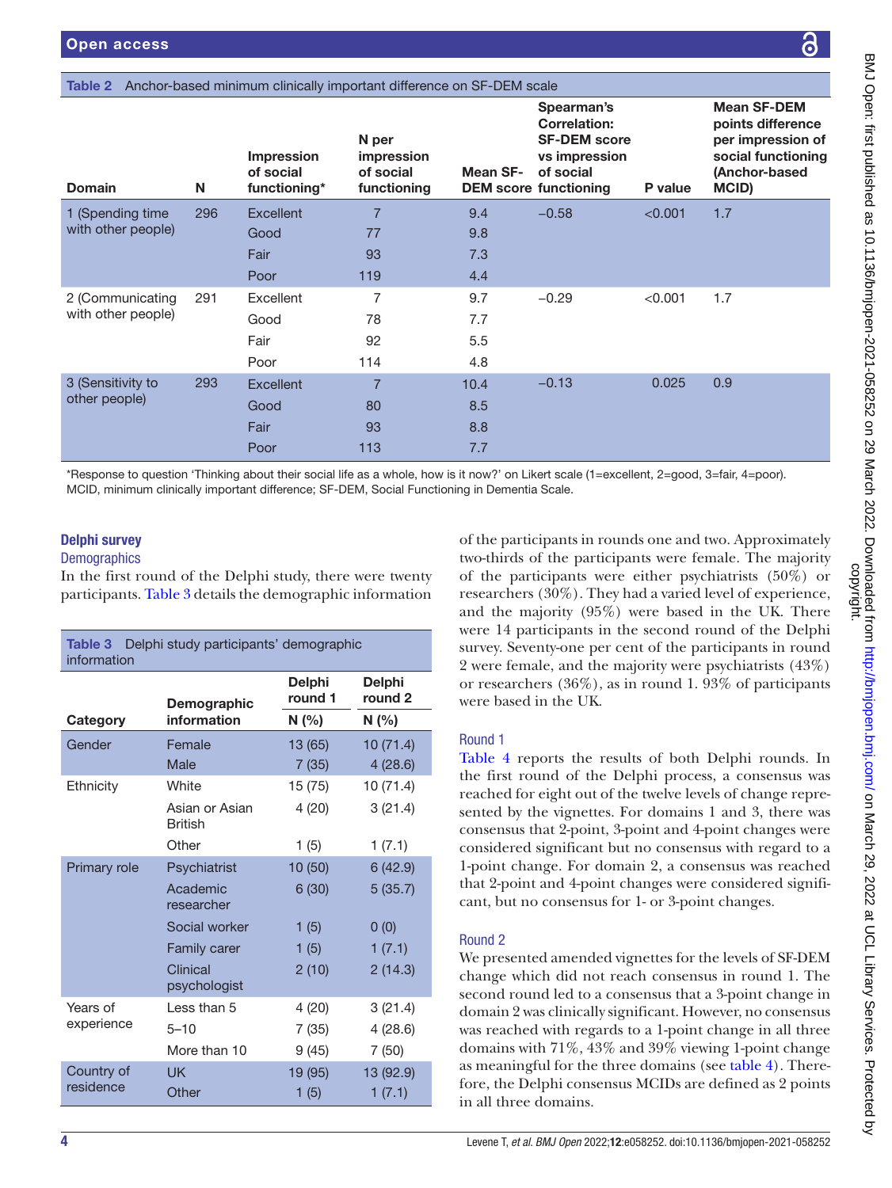#### <span id="page-3-0"></span>Table 2 Anchor-based minimum clinically

| <b>Domain</b>                                                                                                                                                                                                                                                                                                                                          | N   | <b>Impression</b><br>of social<br>functioning* | N per<br>impression<br>of social<br>functioning | Mean SF- | Spearman's<br><b>Correlation:</b><br><b>SF-DEM score</b><br>vs impression<br>of social<br><b>DEM</b> score functioning | P value | <b>Mean SF-DEM</b><br>points difference<br>per impression of<br>social functioning<br>(Anchor-based<br>MCID)                                                                      |
|--------------------------------------------------------------------------------------------------------------------------------------------------------------------------------------------------------------------------------------------------------------------------------------------------------------------------------------------------------|-----|------------------------------------------------|-------------------------------------------------|----------|------------------------------------------------------------------------------------------------------------------------|---------|-----------------------------------------------------------------------------------------------------------------------------------------------------------------------------------|
| 1 (Spending time                                                                                                                                                                                                                                                                                                                                       | 296 | Excellent                                      | $\overline{7}$                                  | 9.4      | $-0.58$                                                                                                                | < 0.001 | 1.7                                                                                                                                                                               |
| with other people)                                                                                                                                                                                                                                                                                                                                     |     | Good                                           | 77                                              | 9.8      |                                                                                                                        |         |                                                                                                                                                                                   |
|                                                                                                                                                                                                                                                                                                                                                        |     | Fair                                           | 93                                              | 7.3      |                                                                                                                        |         |                                                                                                                                                                                   |
|                                                                                                                                                                                                                                                                                                                                                        |     | Poor                                           | 119                                             | 4.4      |                                                                                                                        |         |                                                                                                                                                                                   |
| 2 (Communicating                                                                                                                                                                                                                                                                                                                                       | 291 | Excellent                                      | 7                                               | 9.7      | $-0.29$                                                                                                                | < 0.001 | 1.7                                                                                                                                                                               |
| with other people)                                                                                                                                                                                                                                                                                                                                     |     | Good                                           | 78                                              | 7.7      |                                                                                                                        |         |                                                                                                                                                                                   |
|                                                                                                                                                                                                                                                                                                                                                        |     | Fair                                           | 92                                              | 5.5      |                                                                                                                        |         |                                                                                                                                                                                   |
|                                                                                                                                                                                                                                                                                                                                                        |     | Poor                                           | 114                                             | 4.8      |                                                                                                                        |         |                                                                                                                                                                                   |
| 3 (Sensitivity to                                                                                                                                                                                                                                                                                                                                      | 293 | <b>Excellent</b>                               | $\overline{7}$                                  | 10.4     | $-0.13$                                                                                                                | 0.025   | 0.9                                                                                                                                                                               |
| other people)                                                                                                                                                                                                                                                                                                                                          |     | Good                                           | 80                                              | 8.5      |                                                                                                                        |         |                                                                                                                                                                                   |
|                                                                                                                                                                                                                                                                                                                                                        |     | Fair                                           | 93                                              | 8.8      |                                                                                                                        |         |                                                                                                                                                                                   |
|                                                                                                                                                                                                                                                                                                                                                        |     | Poor                                           | 113                                             | 7.7      |                                                                                                                        |         |                                                                                                                                                                                   |
| *Response to question 'Thinking about their social life as a whole, how is it now?' on Likert scale (1=excellent, 2=good, 3=fair, 4=poor).<br>MCID, minimum clinically important difference; SF-DEM, Social Functioning in Dementia Scale.<br><b>Delphi survey</b><br><b>Demographics</b><br>In the first round of the Delphi study, there were twenty |     |                                                |                                                 |          |                                                                                                                        |         | of the participants in rounds one and two. Approximately<br>two-thirds of the participants were female. The majority<br>of the participants were either psychiatrists $(50\%)$ or |

<span id="page-3-1"></span>Table 3 Delphi study participants' demographic information **Category** Demographic information **Delphi** round 1 **Delphi** round 2  $N$  (%)  $N$  (%) Gender Female 13 (65) 10 (71.4) Male 7 (35) 4 (28.6) Ethnicity White 15 (75) 10 (71.4) Asian or Asian British 4 (20) 3 (21.4) Other 1 (5) 1 (7.1) Primary role Psychiatrist 10 (50) 6 (42.9) Academic researcher 6 (30) 5 (35.7) Social worker  $1 (5)$  0 (0) Family carer  $1 (5)$  1 (7.1) **Clinical** psychologist 2 (10) 2 (14.3) Years of experience Less than  $5$  4 (20) 3 (21.4) 5–10 7 (35) 4 (28.6) More than 10 9 (45) 7 (50) Country of residence UK 19 (95) 13 (92.9) Other 1 (5) 1 (7.1)

of the participants in rounds one and two. Approximately two-thirds of the participants were female. The majority of the participants were either psychiatrists (50%) or researchers (30%). They had a varied level of experience, and the majority (95%) were based in the UK. There were 14 participants in the second round of the Delphi survey. Seventy-one per cent of the participants in round 2 were female, and the majority were psychiatrists (43%) or researchers (36%), as in round 1. 93% of participants were based in the UK.

## Round 1

[Table](#page-4-0) 4 reports the results of both Delphi rounds. In the first round of the Delphi process, a consensus was reached for eight out of the twelve levels of change represented by the vignettes. For domains 1 and 3, there was consensus that 2-point, 3-point and 4-point changes were considered significant but no consensus with regard to a 1-point change. For domain 2, a consensus was reached that 2-point and 4-point changes were considered significant, but no consensus for 1- or 3-point changes.

### Round 2

We presented amended vignettes for the levels of SF-DEM change which did not reach consensus in round 1. The second round led to a consensus that a 3-point change in domain 2 was clinically significant. However, no consensus was reached with regards to a 1-point change in all three domains with 71%, 43% and 39% viewing 1-point change as meaningful for the three domains (see [table](#page-4-0) 4). Therefore, the Delphi consensus MCIDs are defined as 2 points in all three domains.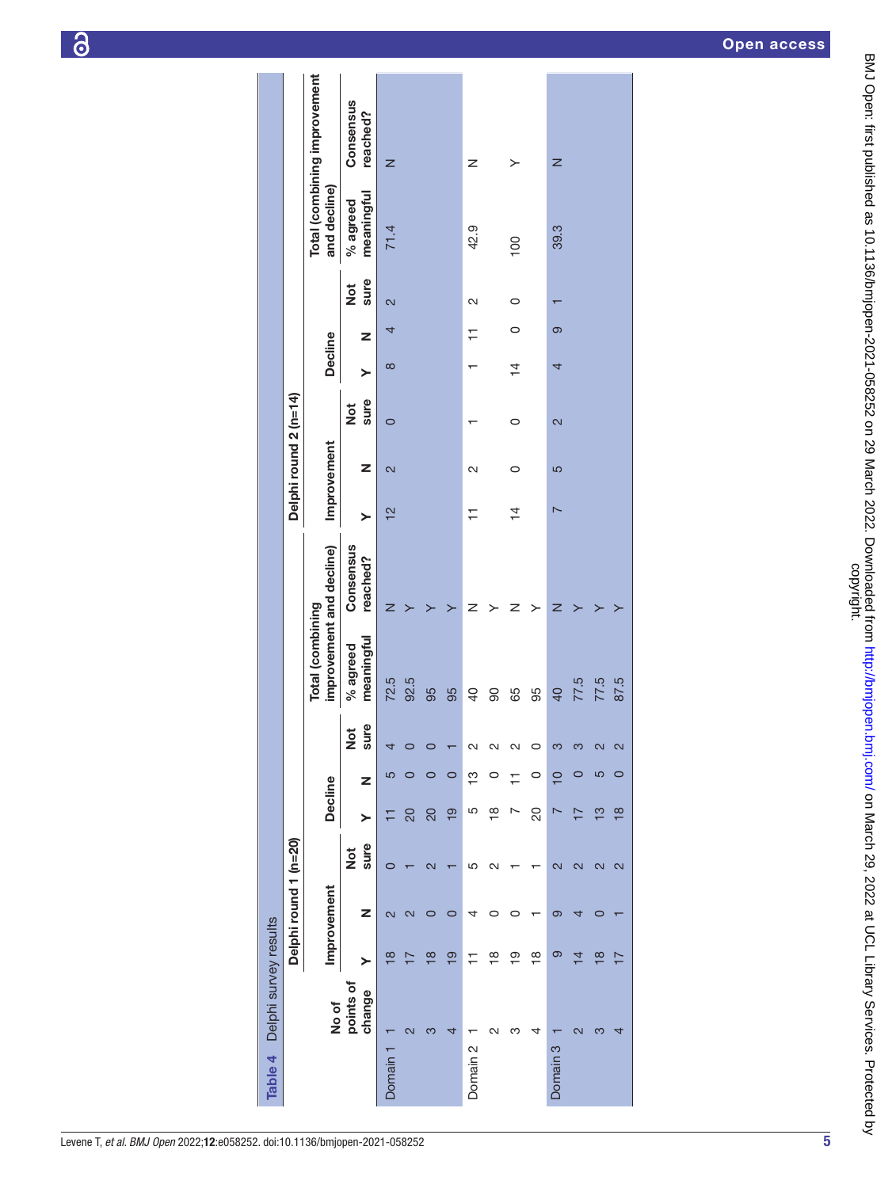| Table 4             | Delphi survey results   |                         |                         |                   |                |                |                    |                                              |                       |                          |                       |                       |                |         |                         |                        |                              |
|---------------------|-------------------------|-------------------------|-------------------------|-------------------|----------------|----------------|--------------------|----------------------------------------------|-----------------------|--------------------------|-----------------------|-----------------------|----------------|---------|-------------------------|------------------------|------------------------------|
|                     |                         |                         | Delphi round 1 (n=20)   |                   |                |                |                    |                                              |                       |                          | Delphi round 2 (n=14) |                       |                |         |                         |                        |                              |
|                     | No of                   |                         | Improvement             |                   | <b>Decline</b> |                |                    | improvement and decline)<br>Total (combining |                       |                          | Improvement           |                       | <b>Decline</b> |         |                         | and decline)           | Total (combining improvement |
|                     | points of<br>change     | ≻                       | z                       | sure<br><b>z</b>  | $\succ$        | z              | sure<br><b>Not</b> | meaningful<br>% agreed                       | Consensus<br>reached? | ≻                        | Z                     | sure<br>$\frac{1}{2}$ | ≻              | Z       | sure<br>$\frac{1}{2}$   | meaningful<br>% agreed | Consensus<br>reached?        |
| Domain 1            |                         | $\infty$                | $\overline{\mathsf{c}}$ |                   | ᅚ              | 5              |                    | 72.5                                         | z                     | $\frac{2}{1}$            | 2                     | $\circ$               | $\infty$       | 4       | $\overline{\mathsf{c}}$ | 71.4                   | z                            |
|                     | $\overline{\mathsf{c}}$ | ⊵                       | $\overline{\mathsf{c}}$ |                   | 20             |                |                    | 92.5                                         |                       |                          |                       |                       |                |         |                         |                        |                              |
|                     | က                       | $\frac{\infty}{\infty}$ | 0                       | $\mathbf{\alpha}$ | 20             | 0              |                    | 95                                           |                       |                          |                       |                       |                |         |                         |                        |                              |
|                     | 4                       | <u>စု</u>               | 0                       |                   | <u>စု</u>      | 0              |                    | 95                                           |                       |                          |                       |                       |                |         |                         |                        |                              |
| Domain <sub>2</sub> |                         | Ξ                       | 4                       | 5                 | 5              | ო<br>T         | $\sim$             | $\overline{a}$                               | z                     | ∓                        | $\mathbf{\Omega}$     |                       |                | ∓       | 2                       | 42.9                   | z                            |
|                     | $\scriptstyle\sim$      | $\frac{\infty}{\tau}$   |                         | $\mathbf{\Omega}$ | $\frac{8}{1}$  | 0              | $\sim$             | 90                                           |                       |                          |                       |                       |                |         |                         |                        |                              |
|                     | ო                       | စ္                      | 0                       |                   |                | ∓              | N                  | 65                                           | z                     | $\overline{4}$           | $\circ$               | 0                     | $\frac{1}{4}$  | $\circ$ | $\circ$                 | $\overline{00}$        | ≻                            |
|                     | 4                       | $\frac{\infty}{1}$      |                         |                   | 20             | 0              | ⊂                  | 95                                           | >                     |                          |                       |                       |                |         |                         |                        |                              |
| Domain <sub>3</sub> |                         | ၜ                       | ၜ                       | 2                 |                | $\overline{C}$ | ς                  | 40                                           | z                     | $\overline{\phantom{0}}$ | 5                     | 2                     | 4              | ၜ       |                         | 39.3                   | z                            |
|                     | N                       | $\overline{4}$          | 4                       | 2                 | Ľ              | 0              | ო                  | 77.5                                         |                       |                          |                       |                       |                |         |                         |                        |                              |
|                     |                         | $\frac{\infty}{2}$      | O                       | 2                 | ဗူ             | 5              | $\mathbf{\Omega}$  | 77.5                                         |                       |                          |                       |                       |                |         |                         |                        |                              |
|                     |                         |                         |                         | N                 | $\frac{8}{1}$  | 0              | 2                  | 87.5                                         |                       |                          |                       |                       |                |         |                         |                        |                              |

<span id="page-4-0"></span>5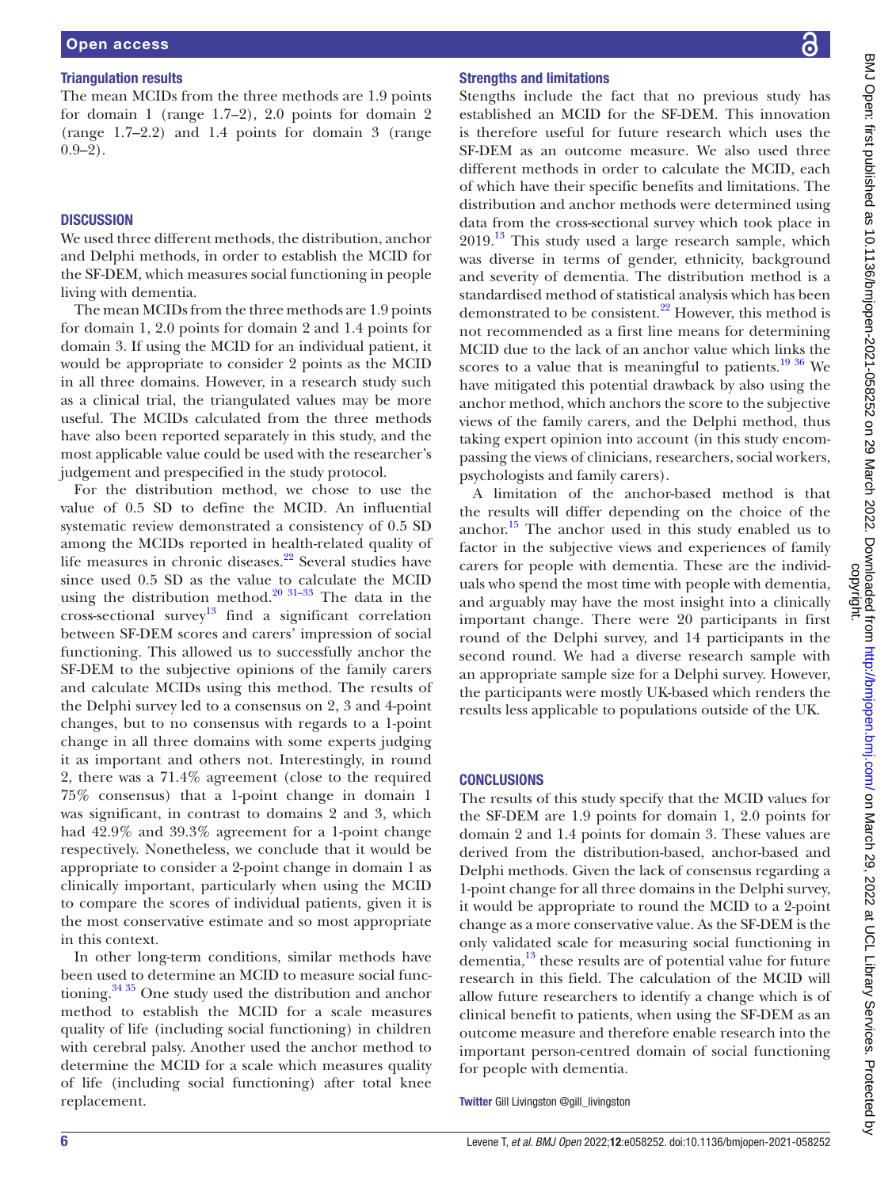#### Triangulation results

The mean MCIDs from the three methods are 1.9 points for domain 1 (range 1.7–2), 2.0 points for domain 2 (range 1.7–2.2) and 1.4 points for domain 3 (range  $0.9-2$ ).

#### **DISCUSSION**

We used three different methods, the distribution, anchor and Delphi methods, in order to establish the MCID for the SF-DEM, which measures social functioning in people living with dementia.

The mean MCIDs from the three methods are 1.9 points for domain 1, 2.0 points for domain 2 and 1.4 points for domain 3. If using the MCID for an individual patient, it would be appropriate to consider 2 points as the MCID in all three domains. However, in a research study such as a clinical trial, the triangulated values may be more useful. The MCIDs calculated from the three methods have also been reported separately in this study, and the most applicable value could be used with the researcher's judgement and prespecified in the study protocol.

For the distribution method, we chose to use the value of 0.5 SD to define the MCID. An influential systematic review demonstrated a consistency of 0.5 SD among the MCIDs reported in health-related quality of life measures in chronic diseases.<sup>[22](#page-6-22)</sup> Several studies have since used 0.5 SD as the value to calculate the MCID using the distribution method.<sup>[20 31–33](#page-6-14)</sup> The data in the cross-sectional survey<sup>[13](#page-6-8)</sup> find a significant correlation between SF-DEM scores and carers' impression of social functioning. This allowed us to successfully anchor the SF-DEM to the subjective opinions of the family carers and calculate MCIDs using this method. The results of the Delphi survey led to a consensus on 2, 3 and 4-point changes, but to no consensus with regards to a 1-point change in all three domains with some experts judging it as important and others not. Interestingly, in round 2, there was a 71.4% agreement (close to the required 75% consensus) that a 1-point change in domain 1 was significant, in contrast to domains 2 and 3, which had 42.9% and 39.3% agreement for a 1-point change respectively. Nonetheless, we conclude that it would be appropriate to consider a 2-point change in domain 1 as clinically important, particularly when using the MCID to compare the scores of individual patients, given it is the most conservative estimate and so most appropriate in this context.

In other long-term conditions, similar methods have been used to determine an MCID to measure social functioning.[34 35](#page-6-23) One study used the distribution and anchor method to establish the MCID for a scale measures quality of life (including social functioning) in children with cerebral palsy. Another used the anchor method to determine the MCID for a scale which measures quality of life (including social functioning) after total knee replacement.

#### Strengths and limitations

Stengths include the fact that no previous study has established an MCID for the SF-DEM. This innovation is therefore useful for future research which uses the SF-DEM as an outcome measure. We also used three different methods in order to calculate the MCID, each of which have their specific benefits and limitations. The distribution and anchor methods were determined using data from the cross-sectional survey which took place in  $2019$ .<sup>13</sup> This study used a large research sample, which was diverse in terms of gender, ethnicity, background and severity of dementia. The distribution method is a standardised method of statistical analysis which has been demonstrated to be consistent.<sup>22</sup> However, this method is not recommended as a first line means for determining MCID due to the lack of an anchor value which links the scores to a value that is meaningful to patients.<sup>[19 36](#page-6-13)</sup> We have mitigated this potential drawback by also using the anchor method, which anchors the score to the subjective views of the family carers, and the Delphi method, thus taking expert opinion into account (in this study encompassing the views of clinicians, researchers, social workers, psychologists and family carers).

A limitation of the anchor-based method is that the results will differ depending on the choice of the anchor.<sup>15</sup> The anchor used in this study enabled us to factor in the subjective views and experiences of family carers for people with dementia. These are the individuals who spend the most time with people with dementia, and arguably may have the most insight into a clinically important change. There were 20 participants in first round of the Delphi survey, and 14 participants in the second round. We had a diverse research sample with an appropriate sample size for a Delphi survey. However, the participants were mostly UK-based which renders the results less applicable to populations outside of the UK.

#### **CONCLUSIONS**

The results of this study specify that the MCID values for the SF-DEM are 1.9 points for domain 1, 2.0 points for domain 2 and 1.4 points for domain 3. These values are derived from the distribution-based, anchor-based and Delphi methods. Given the lack of consensus regarding a 1-point change for all three domains in the Delphi survey, it would be appropriate to round the MCID to a 2-point change as a more conservative value. As the SF-DEM is the only validated scale for measuring social functioning in dementia,<sup>13</sup> these results are of potential value for future research in this field. The calculation of the MCID will allow future researchers to identify a change which is of clinical benefit to patients, when using the SF-DEM as an outcome measure and therefore enable research into the important person-centred domain of social functioning for people with dementia.

Twitter Gill Livingston [@gill\\_livingston](https://twitter.com/gill_livingston)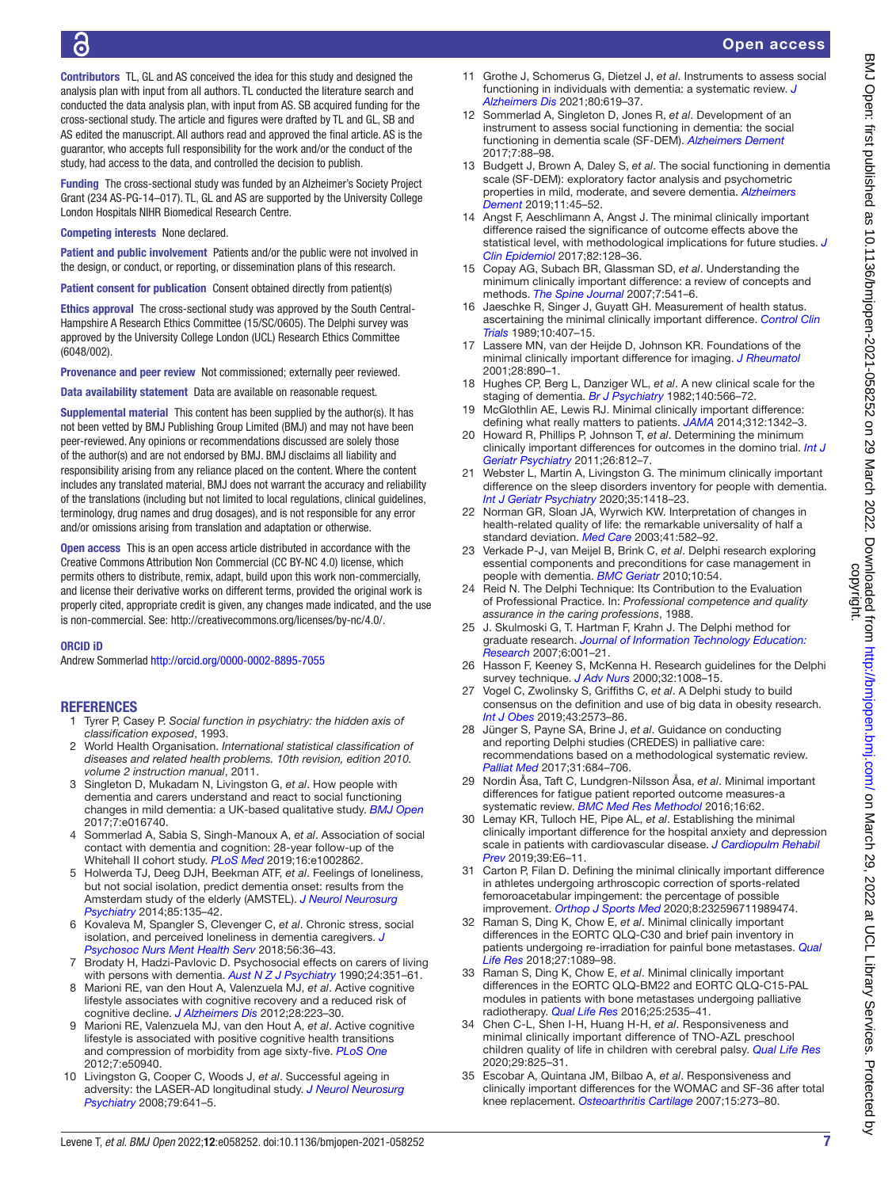Contributors TL, GL and AS conceived the idea for this study and designed the analysis plan with input from all authors. TL conducted the literature search and conducted the data analysis plan, with input from AS. SB acquired funding for the cross-sectional study. The article and figures were drafted by TL and GL, SB and AS edited the manuscript. All authors read and approved the final article. AS is the guarantor, who accepts full responsibility for the work and/or the conduct of the study, had access to the data, and controlled the decision to publish.

Funding The cross-sectional study was funded by an Alzheimer's Society Project Grant (234 AS-PG-14–017). TL, GL and AS are supported by the University College London Hospitals NIHR Biomedical Research Centre.

Competing interests None declared.

Patient and public involvement Patients and/or the public were not involved in the design, or conduct, or reporting, or dissemination plans of this research.

Patient consent for publication Consent obtained directly from patient(s)

Ethics approval The cross-sectional study was approved by the South Central-Hampshire A Research Ethics Committee (15/SC/0605). The Delphi survey was approved by the University College London (UCL) Research Ethics Committee (6048/002).

Provenance and peer review Not commissioned; externally peer reviewed.

Data availability statement Data are available on reasonable request.

Supplemental material This content has been supplied by the author(s). It has not been vetted by BMJ Publishing Group Limited (BMJ) and may not have been peer-reviewed. Any opinions or recommendations discussed are solely those of the author(s) and are not endorsed by BMJ. BMJ disclaims all liability and responsibility arising from any reliance placed on the content. Where the content includes any translated material, BMJ does not warrant the accuracy and reliability of the translations (including but not limited to local regulations, clinical guidelines, terminology, drug names and drug dosages), and is not responsible for any error and/or omissions arising from translation and adaptation or otherwise.

Open access This is an open access article distributed in accordance with the Creative Commons Attribution Non Commercial (CC BY-NC 4.0) license, which permits others to distribute, remix, adapt, build upon this work non-commercially, and license their derivative works on different terms, provided the original work is properly cited, appropriate credit is given, any changes made indicated, and the use is non-commercial. See: [http://creativecommons.org/licenses/by-nc/4.0/.](http://creativecommons.org/licenses/by-nc/4.0/)

#### ORCID iD

Andrew Sommerlad <http://orcid.org/0000-0002-8895-7055>

#### **REFERENCES**

- <span id="page-6-0"></span>1 Tyrer P, Casey P. *Social function in psychiatry: the hidden axis of classification exposed*, 1993.
- <span id="page-6-1"></span>2 World Health Organisation. *International statistical classification of diseases and related health problems. 10th revision, edition 2010. volume 2 instruction manual*, 2011.
- <span id="page-6-2"></span>3 Singleton D, Mukadam N, Livingston G, *et al*. How people with dementia and carers understand and react to social functioning changes in mild dementia: a UK-based qualitative study. *[BMJ Open](http://dx.doi.org/10.1136/bmjopen-2017-016740)* 2017;7:e016740.
- <span id="page-6-3"></span>4 Sommerlad A, Sabia S, Singh-Manoux A, *et al*. Association of social contact with dementia and cognition: 28-year follow-up of the Whitehall II cohort study. *[PLoS Med](http://dx.doi.org/10.1371/journal.pmed.1002862)* 2019;16:e1002862.
- 5 Holwerda TJ, Deeg DJH, Beekman ATF, *et al*. Feelings of loneliness, but not social isolation, predict dementia onset: results from the Amsterdam study of the elderly (AMSTEL). *[J Neurol Neurosurg](http://dx.doi.org/10.1136/jnnp-2012-302755)  [Psychiatry](http://dx.doi.org/10.1136/jnnp-2012-302755)* 2014;85:135–42.
- 6 Kovaleva M, Spangler S, Clevenger C, *et al*. Chronic stress, social isolation, and perceived loneliness in dementia caregivers. *[J](http://dx.doi.org/10.3928/02793695-20180329-04)  [Psychosoc Nurs Ment Health Serv](http://dx.doi.org/10.3928/02793695-20180329-04)* 2018;56:36–43.
- 7 Brodaty H, Hadzi-Pavlovic D. Psychosocial effects on carers of living with persons with dementia. *[Aust N Z J Psychiatry](http://dx.doi.org/10.3109/00048679009077702)* 1990;24:351–61.
- <span id="page-6-4"></span>8 Marioni RE, van den Hout A, Valenzuela MJ, *et al*. Active cognitive lifestyle associates with cognitive recovery and a reduced risk of cognitive decline. *[J Alzheimers Dis](http://dx.doi.org/10.3233/JAD-2011-110377)* 2012;28:223–30.
- 9 Marioni RE, Valenzuela MJ, van den Hout A, *et al*. Active cognitive lifestyle is associated with positive cognitive health transitions and compression of morbidity from age sixty-five. *[PLoS One](http://dx.doi.org/10.1371/journal.pone.0050940)* 2012;7:e50940.
- <span id="page-6-5"></span>10 Livingston G, Cooper C, Woods J, *et al*. Successful ageing in adversity: the LASER-AD longitudinal study. *[J Neurol Neurosurg](http://dx.doi.org/10.1136/jnnp.2007.126706)  [Psychiatry](http://dx.doi.org/10.1136/jnnp.2007.126706)* 2008;79:641–5.
- <span id="page-6-6"></span>11 Grothe J, Schomerus G, Dietzel J, *et al*. Instruments to assess social functioning in individuals with dementia: a systematic review. *[J](http://dx.doi.org/10.3233/JAD-200762)  [Alzheimers Dis](http://dx.doi.org/10.3233/JAD-200762)* 2021;80:619–37.
- <span id="page-6-7"></span>12 Sommerlad A, Singleton D, Jones R, *et al*. Development of an instrument to assess social functioning in dementia: the social functioning in dementia scale (SF-DEM). *[Alzheimers Dement](http://dx.doi.org/10.1016/j.dadm.2017.02.001)* 2017;7:88–98.
- <span id="page-6-8"></span>13 Budgett J, Brown A, Daley S, *et al*. The social functioning in dementia scale (SF-DEM): exploratory factor analysis and psychometric properties in mild, moderate, and severe dementia. *[Alzheimers](http://dx.doi.org/10.1016/j.dadm.2018.11.001)  [Dement](http://dx.doi.org/10.1016/j.dadm.2018.11.001)* 2019;11:45–52.
- <span id="page-6-9"></span>14 Angst F, Aeschlimann A, Angst J. The minimal clinically important difference raised the significance of outcome effects above the statistical level, with methodological implications for future studies. *[J](http://dx.doi.org/10.1016/j.jclinepi.2016.11.016)  [Clin Epidemiol](http://dx.doi.org/10.1016/j.jclinepi.2016.11.016)* 2017;82:128–36.
- <span id="page-6-24"></span>15 Copay AG, Subach BR, Glassman SD, *et al*. Understanding the minimum clinically important difference: a review of concepts and methods. *[The Spine Journal](http://dx.doi.org/10.1016/j.spinee.2007.01.008)* 2007;7:541–6.
- <span id="page-6-10"></span>16 Jaeschke R, Singer J, Guyatt GH. Measurement of health status. ascertaining the minimal clinically important difference. *[Control Clin](http://dx.doi.org/10.1016/0197-2456(89)90005-6)  [Trials](http://dx.doi.org/10.1016/0197-2456(89)90005-6)* 1989;10:407–15.
- <span id="page-6-11"></span>17 Lassere MN, van der Heijde D, Johnson KR. Foundations of the minimal clinically important difference for imaging. *[J Rheumatol](http://www.ncbi.nlm.nih.gov/pubmed/11327272)* 2001;28:890–1.
- <span id="page-6-12"></span>18 Hughes CP, Berg L, Danziger WL, *et al*. A new clinical scale for the staging of dementia. *[Br J Psychiatry](http://dx.doi.org/10.1192/bjp.140.6.566)* 1982;140:566–72.
- <span id="page-6-13"></span>19 McGlothlin AE, Lewis RJ. Minimal clinically important difference: defining what really matters to patients. *[JAMA](http://dx.doi.org/10.1001/jama.2014.13128)* 2014;312:1342–3.
- <span id="page-6-14"></span>20 Howard R, Phillips P, Johnson T, *et al*. Determining the minimum clinically important differences for outcomes in the domino trial. *[Int J](http://dx.doi.org/10.1002/gps.2607)  [Geriatr Psychiatry](http://dx.doi.org/10.1002/gps.2607)* 2011;26:812–7.
- <span id="page-6-19"></span>21 Webster L, Martin A, Livingston G. The minimum clinically important difference on the sleep disorders inventory for people with dementia. *[Int J Geriatr Psychiatry](http://dx.doi.org/10.1002/gps.5384)* 2020;35:1418–23.
- <span id="page-6-22"></span>22 Norman GR, Sloan JA, Wyrwich KW. Interpretation of changes in health-related quality of life: the remarkable universality of half a standard deviation. *[Med Care](http://dx.doi.org/10.1097/01.MLR.0000062554.74615.4C)* 2003;41:582–92.
- <span id="page-6-15"></span>23 Verkade P-J, van Meijel B, Brink C, *et al*. Delphi research exploring essential components and preconditions for case management in people with dementia. *[BMC Geriatr](http://dx.doi.org/10.1186/1471-2318-10-54)* 2010;10:54.
- <span id="page-6-16"></span>24 Reid N. The Delphi Technique: Its Contribution to the Evaluation of Professional Practice. In: *Professional competence and quality assurance in the caring professions*, 1988.
- <span id="page-6-17"></span>25 J. Skulmoski G, T. Hartman F, Krahn J. The Delphi method for graduate research. *[Journal of Information Technology Education:](http://dx.doi.org/10.28945/199)  [Research](http://dx.doi.org/10.28945/199)* 2007;6:001–21.
- <span id="page-6-18"></span>26 Hasson F, Keeney S, McKenna H. Research guidelines for the Delphi survey technique. *[J Adv Nurs](http://www.ncbi.nlm.nih.gov/pubmed/11095242)* 2000;32:1008–15.
- <span id="page-6-20"></span>27 Vogel C, Zwolinsky S, Griffiths C, *et al*. A Delphi study to build consensus on the definition and use of big data in obesity research. *[Int J Obes](http://dx.doi.org/10.1038/s41366-018-0313-9)* 2019;43:2573–86.
- <span id="page-6-21"></span>28 Jünger S, Payne SA, Brine J, *et al*. Guidance on conducting and reporting Delphi studies (CREDES) in palliative care: recommendations based on a methodological systematic review. *[Palliat Med](http://dx.doi.org/10.1177/0269216317690685)* 2017;31:684–706.
- 29 Nordin Åsa, Taft C, Lundgren-Nilsson Åsa, *et al*. Minimal important differences for fatigue patient reported outcome measures-a systematic review. *[BMC Med Res Methodol](http://dx.doi.org/10.1186/s12874-016-0167-6)* 2016;16:62.
- 30 Lemay KR, Tulloch HE, Pipe AL, *et al*. Establishing the minimal clinically important difference for the hospital anxiety and depression scale in patients with cardiovascular disease. *[J Cardiopulm Rehabil](http://dx.doi.org/10.1097/HCR.0000000000000379)  [Prev](http://dx.doi.org/10.1097/HCR.0000000000000379)* 2019;39:E6–11.
- 31 Carton P, Filan D. Defining the minimal clinically important difference in athletes undergoing arthroscopic correction of sports-related femoroacetabular impingement: the percentage of possible improvement. *[Orthop J Sports Med](http://dx.doi.org/10.1177/2325967119894747)* 2020;8:232596711989474.
- 32 Raman S, Ding K, Chow E, *et al*. Minimal clinically important differences in the EORTC QLQ-C30 and brief pain inventory in patients undergoing re-irradiation for painful bone metastases. *[Qual](http://dx.doi.org/10.1007/s11136-017-1745-8)  [Life Res](http://dx.doi.org/10.1007/s11136-017-1745-8)* 2018;27:1089–98.
- 33 Raman S, Ding K, Chow E, *et al*. Minimal clinically important differences in the EORTC QLQ-BM22 and EORTC QLQ-C15-PAL modules in patients with bone metastases undergoing palliative radiotherapy. *[Qual Life Res](http://dx.doi.org/10.1007/s11136-016-1308-4)* 2016;25:2535–41.
- <span id="page-6-23"></span>34 Chen C-L, Shen I-H, Huang H-H, *et al*. Responsiveness and minimal clinically important difference of TNO-AZL preschool children quality of life in children with cerebral palsy. *[Qual Life Res](http://dx.doi.org/10.1007/s11136-019-02370-y)* 2020;29:825–31.
- 35 Escobar A, Quintana JM, Bilbao A, *et al*. Responsiveness and clinically important differences for the WOMAC and SF-36 after total knee replacement. *[Osteoarthritis Cartilage](http://dx.doi.org/10.1016/j.joca.2006.09.001)* 2007;15:273–80.

्ट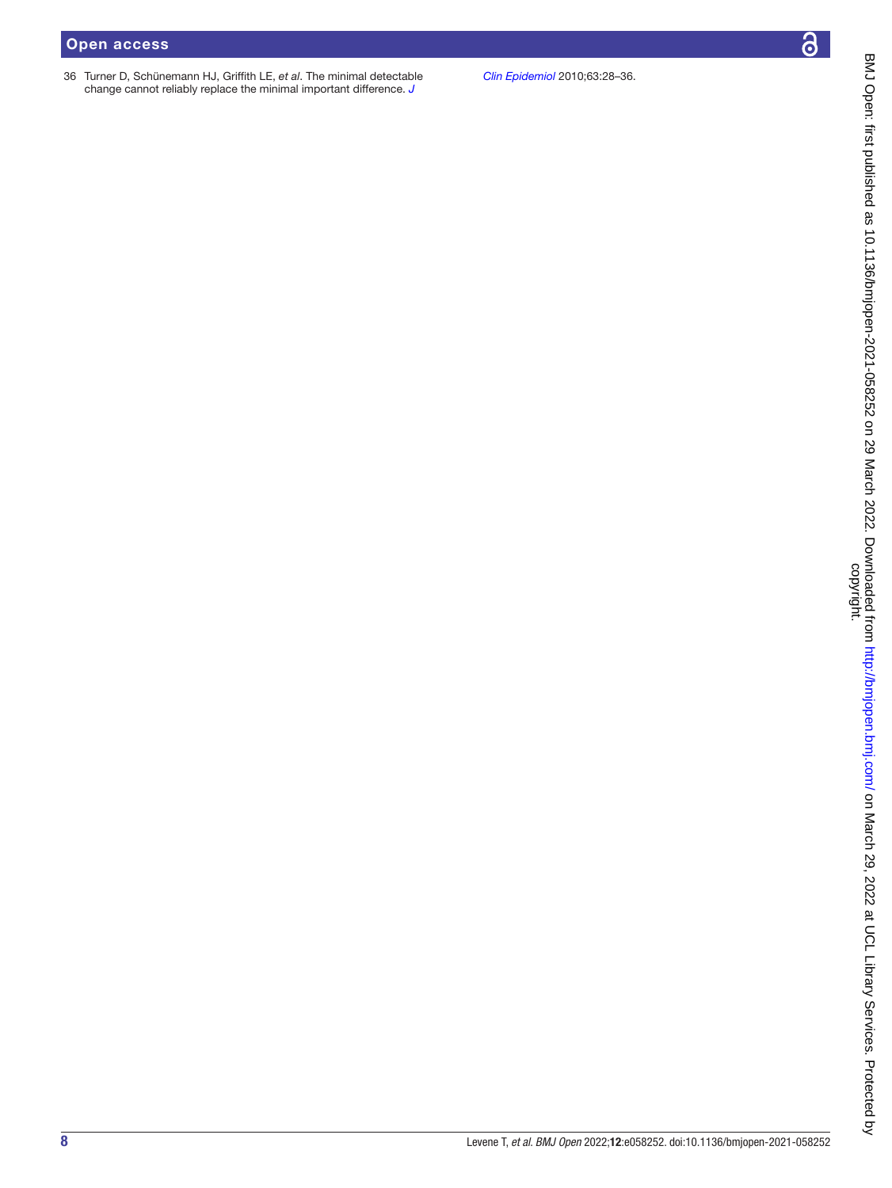## Open access

36 Turner D, Schünemann HJ, Griffith LE, *et al*. The minimal detectable change cannot reliably replace the minimal important difference. *[J](http://dx.doi.org/10.1016/j.jclinepi.2009.01.024)* 

*[Clin Epidemiol](http://dx.doi.org/10.1016/j.jclinepi.2009.01.024)* 2010;63:28–36.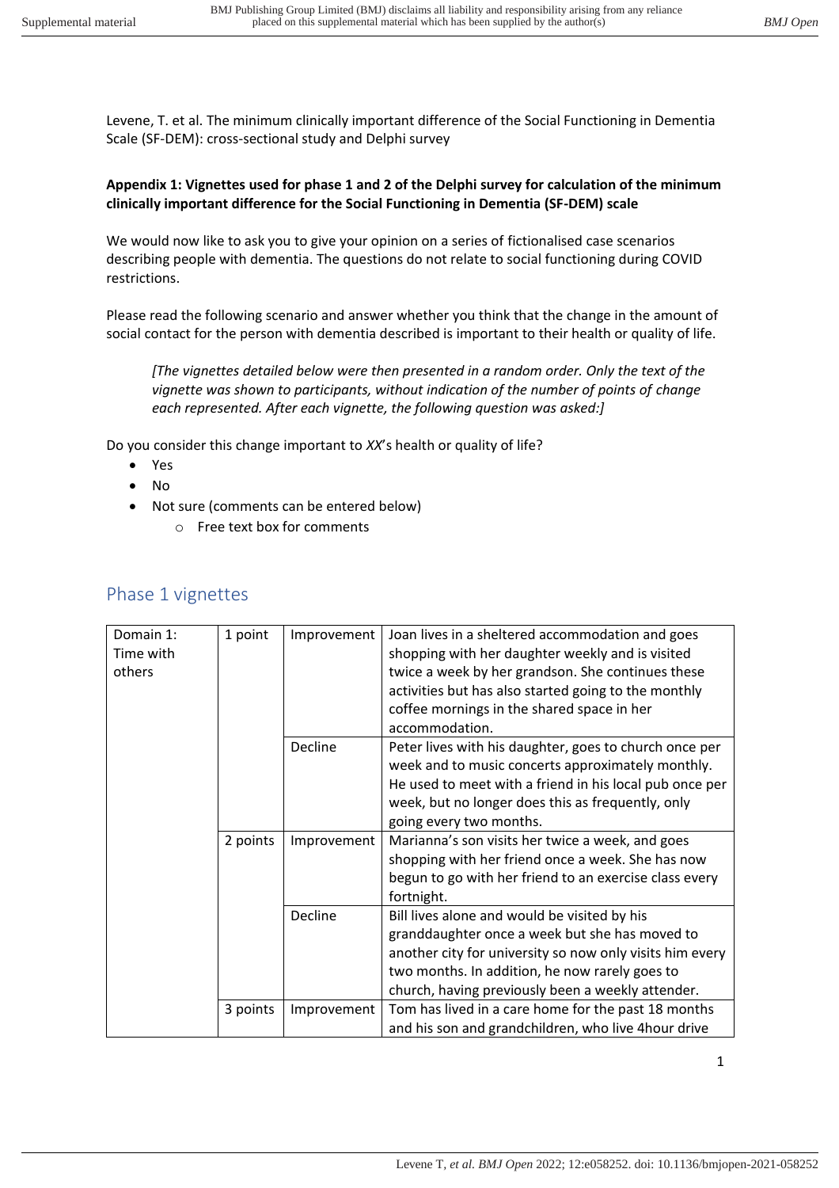## **Appendix 1: Vignettes used for phase 1 and 2 of the Delphi survey for calculation of the minimum clinically important difference for the Social Functioning in Dementia (SF-DEM) scale**

We would now like to ask you to give your opinion on a series of fictionalised case scenarios describing people with dementia. The questions do not relate to social functioning during COVID restrictions.

Please read the following scenario and answer whether you think that the change in the amount of social contact for the person with dementia described is important to their health or quality of life.

*[The vignettes detailed below were then presented in a random order. Only the text of the vignette was shown to participants, without indication of the number of points of change each represented. After each vignette, the following question was asked:]* 

Do you consider this change important to *XX*'s health or quality of life?

- Yes
- No
- Not sure (comments can be entered below)
	- o Free text box for comments

| Domain 1:<br>Time with<br>others | 1 point  | Improvement | Joan lives in a sheltered accommodation and goes<br>shopping with her daughter weekly and is visited<br>twice a week by her grandson. She continues these<br>activities but has also started going to the monthly<br>coffee mornings in the shared space in her<br>accommodation. |
|----------------------------------|----------|-------------|-----------------------------------------------------------------------------------------------------------------------------------------------------------------------------------------------------------------------------------------------------------------------------------|
|                                  |          | Decline     | Peter lives with his daughter, goes to church once per<br>week and to music concerts approximately monthly.<br>He used to meet with a friend in his local pub once per<br>week, but no longer does this as frequently, only<br>going every two months.                            |
|                                  | 2 points | Improvement | Marianna's son visits her twice a week, and goes<br>shopping with her friend once a week. She has now<br>begun to go with her friend to an exercise class every<br>fortnight.                                                                                                     |
|                                  |          | Decline     | Bill lives alone and would be visited by his<br>granddaughter once a week but she has moved to<br>another city for university so now only visits him every<br>two months. In addition, he now rarely goes to<br>church, having previously been a weekly attender.                 |
|                                  | 3 points | Improvement | Tom has lived in a care home for the past 18 months<br>and his son and grandchildren, who live 4hour drive                                                                                                                                                                        |

## Phase 1 vignettes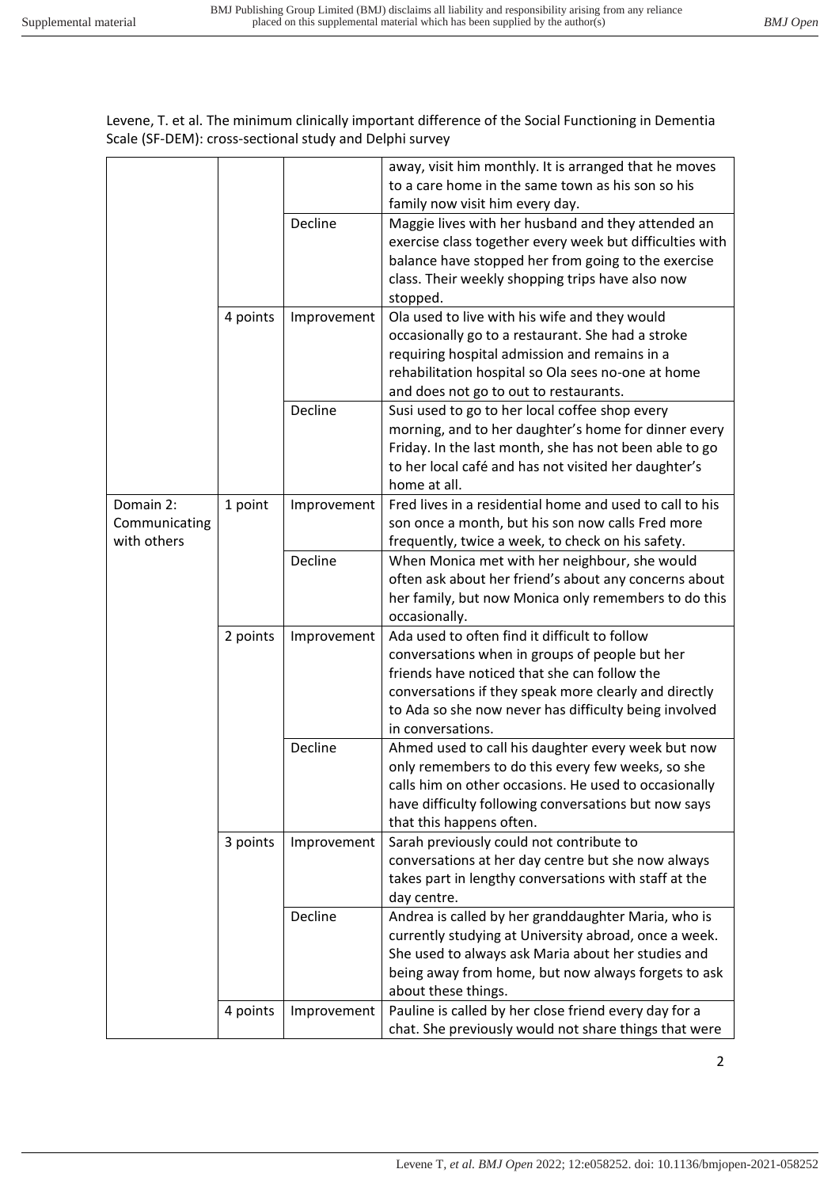|               |          |             | away, visit him monthly. It is arranged that he moves                                                       |
|---------------|----------|-------------|-------------------------------------------------------------------------------------------------------------|
|               |          |             | to a care home in the same town as his son so his                                                           |
|               |          |             | family now visit him every day.                                                                             |
|               |          | Decline     | Maggie lives with her husband and they attended an                                                          |
|               |          |             | exercise class together every week but difficulties with                                                    |
|               |          |             | balance have stopped her from going to the exercise                                                         |
|               |          |             | class. Their weekly shopping trips have also now                                                            |
|               |          |             | stopped.                                                                                                    |
|               | 4 points | Improvement | Ola used to live with his wife and they would                                                               |
|               |          |             | occasionally go to a restaurant. She had a stroke                                                           |
|               |          |             | requiring hospital admission and remains in a                                                               |
|               |          |             | rehabilitation hospital so Ola sees no-one at home                                                          |
|               |          |             | and does not go to out to restaurants.                                                                      |
|               |          | Decline     | Susi used to go to her local coffee shop every                                                              |
|               |          |             | morning, and to her daughter's home for dinner every                                                        |
|               |          |             | Friday. In the last month, she has not been able to go                                                      |
|               |          |             | to her local café and has not visited her daughter's<br>home at all.                                        |
| Domain 2:     |          |             | Fred lives in a residential home and used to call to his                                                    |
| Communicating | 1 point  | Improvement | son once a month, but his son now calls Fred more                                                           |
| with others   |          |             | frequently, twice a week, to check on his safety.                                                           |
|               |          | Decline     | When Monica met with her neighbour, she would                                                               |
|               |          |             | often ask about her friend's about any concerns about                                                       |
|               |          |             | her family, but now Monica only remembers to do this                                                        |
|               |          |             | occasionally.                                                                                               |
|               | 2 points | Improvement | Ada used to often find it difficult to follow                                                               |
|               |          |             | conversations when in groups of people but her                                                              |
|               |          |             | friends have noticed that she can follow the                                                                |
|               |          |             | conversations if they speak more clearly and directly                                                       |
|               |          |             | to Ada so she now never has difficulty being involved                                                       |
|               |          |             | in conversations.                                                                                           |
|               |          | Decline     | Ahmed used to call his daughter every week but now                                                          |
|               |          |             | only remembers to do this every few weeks, so she                                                           |
|               |          |             | calls him on other occasions. He used to occasionally                                                       |
|               |          |             | have difficulty following conversations but now says                                                        |
|               |          |             | that this happens often.                                                                                    |
|               | 3 points | Improvement | Sarah previously could not contribute to                                                                    |
|               |          |             | conversations at her day centre but she now always                                                          |
|               |          |             | takes part in lengthy conversations with staff at the                                                       |
|               |          |             | day centre.                                                                                                 |
|               |          | Decline     | Andrea is called by her granddaughter Maria, who is                                                         |
|               |          |             | currently studying at University abroad, once a week.<br>She used to always ask Maria about her studies and |
|               |          |             | being away from home, but now always forgets to ask                                                         |
|               |          |             | about these things.                                                                                         |
|               | 4 points | Improvement | Pauline is called by her close friend every day for a                                                       |
|               |          |             | chat. She previously would not share things that were                                                       |
|               |          |             |                                                                                                             |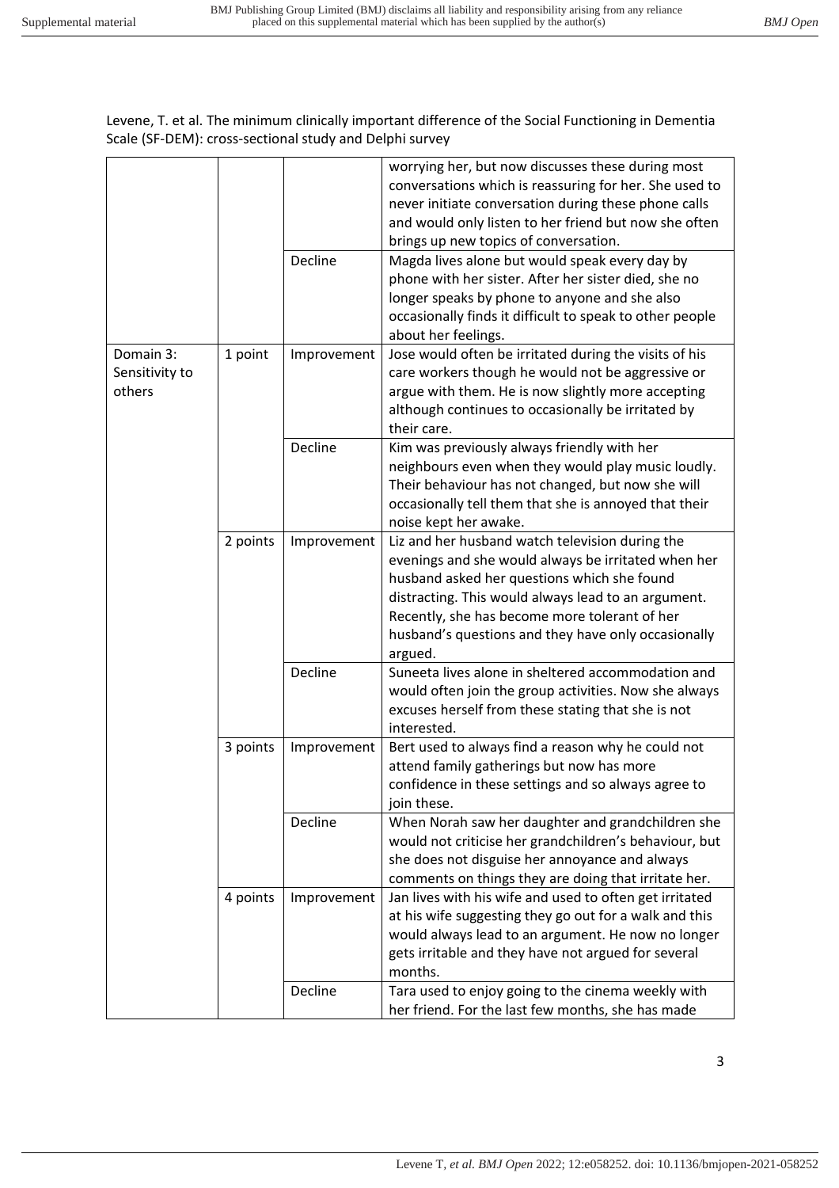|  |                                       |          |             | worrying her, but now discusses these during most<br>conversations which is reassuring for her. She used to<br>never initiate conversation during these phone calls<br>and would only listen to her friend but now she often<br>brings up new topics of conversation.                                                           |
|--|---------------------------------------|----------|-------------|---------------------------------------------------------------------------------------------------------------------------------------------------------------------------------------------------------------------------------------------------------------------------------------------------------------------------------|
|  |                                       |          | Decline     | Magda lives alone but would speak every day by<br>phone with her sister. After her sister died, she no<br>longer speaks by phone to anyone and she also<br>occasionally finds it difficult to speak to other people<br>about her feelings.                                                                                      |
|  | Domain 3:<br>Sensitivity to<br>others | 1 point  | Improvement | Jose would often be irritated during the visits of his<br>care workers though he would not be aggressive or<br>argue with them. He is now slightly more accepting<br>although continues to occasionally be irritated by<br>their care.                                                                                          |
|  |                                       |          | Decline     | Kim was previously always friendly with her<br>neighbours even when they would play music loudly.<br>Their behaviour has not changed, but now she will<br>occasionally tell them that she is annoyed that their<br>noise kept her awake.                                                                                        |
|  |                                       | 2 points | Improvement | Liz and her husband watch television during the<br>evenings and she would always be irritated when her<br>husband asked her questions which she found<br>distracting. This would always lead to an argument.<br>Recently, she has become more tolerant of her<br>husband's questions and they have only occasionally<br>argued. |
|  |                                       |          | Decline     | Suneeta lives alone in sheltered accommodation and<br>would often join the group activities. Now she always<br>excuses herself from these stating that she is not<br>interested.                                                                                                                                                |
|  |                                       | 3 points | Improvement | Bert used to always find a reason why he could not<br>attend family gatherings but now has more<br>confidence in these settings and so always agree to<br>join these.                                                                                                                                                           |
|  |                                       |          | Decline     | When Norah saw her daughter and grandchildren she<br>would not criticise her grandchildren's behaviour, but<br>she does not disguise her annoyance and always<br>comments on things they are doing that irritate her.                                                                                                           |
|  |                                       | 4 points | Improvement | Jan lives with his wife and used to often get irritated<br>at his wife suggesting they go out for a walk and this<br>would always lead to an argument. He now no longer<br>gets irritable and they have not argued for several<br>months.                                                                                       |
|  |                                       |          | Decline     | Tara used to enjoy going to the cinema weekly with<br>her friend. For the last few months, she has made                                                                                                                                                                                                                         |